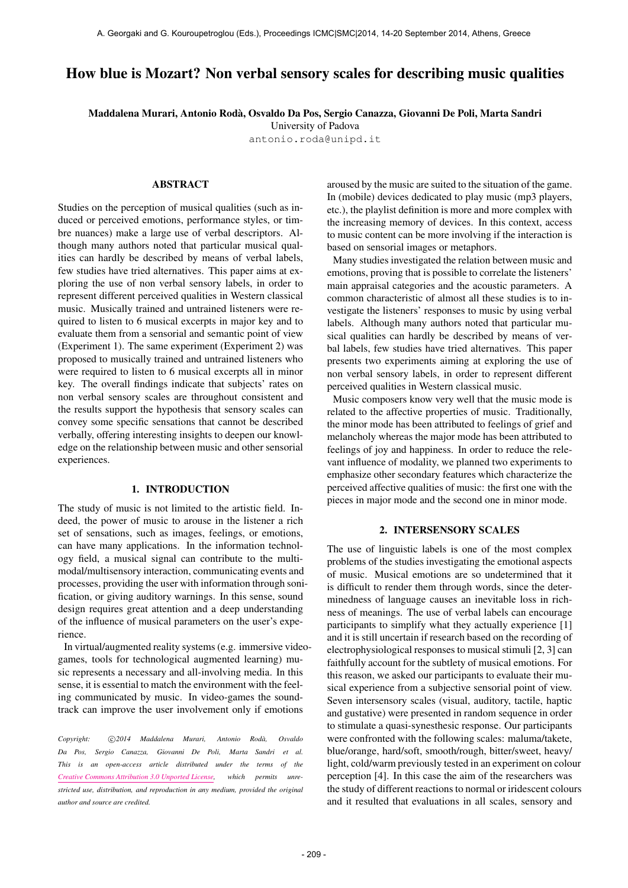# How blue is Mozart? Non verbal sensory scales for describing music qualities

Maddalena Murari, Antonio Roda, Osvaldo Da Pos, Sergio Canazza, Giovanni De Poli, Marta Sandri `

University of Padova [antonio.roda@unipd.it](mailto:antonio.roda@unipd.it)

## ABSTRACT

Studies on the perception of musical qualities (such as induced or perceived emotions, performance styles, or timbre nuances) make a large use of verbal descriptors. Although many authors noted that particular musical qualities can hardly be described by means of verbal labels, few studies have tried alternatives. This paper aims at exploring the use of non verbal sensory labels, in order to represent different perceived qualities in Western classical music. Musically trained and untrained listeners were required to listen to 6 musical excerpts in major key and to evaluate them from a sensorial and semantic point of view (Experiment 1). The same experiment (Experiment 2) was proposed to musically trained and untrained listeners who were required to listen to 6 musical excerpts all in minor key. The overall findings indicate that subjects' rates on non verbal sensory scales are throughout consistent and the results support the hypothesis that sensory scales can convey some specific sensations that cannot be described verbally, offering interesting insights to deepen our knowledge on the relationship between music and other sensorial experiences.

## 1. INTRODUCTION

The study of music is not limited to the artistic field. Indeed, the power of music to arouse in the listener a rich set of sensations, such as images, feelings, or emotions, can have many applications. In the information technology field, a musical signal can contribute to the multimodal/multisensory interaction, communicating events and processes, providing the user with information through sonification, or giving auditory warnings. In this sense, sound design requires great attention and a deep understanding of the influence of musical parameters on the user's experience.

In virtual/augmented reality systems (e.g. immersive videogames, tools for technological augmented learning) music represents a necessary and all-involving media. In this sense, it is essential to match the environment with the feeling communicated by music. In video-games the soundtrack can improve the user involvement only if emotions

Copyright:  $\binom{c}{2014}$  Maddalena Murari, Antonio Rodà, Osvaldo *Da Pos, Sergio Canazza, Giovanni De Poli, Marta Sandri et al. This is an open-access article distributed under the terms of the [Creative Commons Attribution 3.0 Unported License,](http://creativecommons.org/licenses/by/3.0/) which permits unrestricted use, distribution, and reproduction in any medium, provided the original author and source are credited.*

aroused by the music are suited to the situation of the game. In (mobile) devices dedicated to play music (mp3 players, etc.), the playlist definition is more and more complex with the increasing memory of devices. In this context, access to music content can be more involving if the interaction is based on sensorial images or metaphors.

Many studies investigated the relation between music and emotions, proving that is possible to correlate the listeners' main appraisal categories and the acoustic parameters. A common characteristic of almost all these studies is to investigate the listeners' responses to music by using verbal labels. Although many authors noted that particular musical qualities can hardly be described by means of verbal labels, few studies have tried alternatives. This paper presents two experiments aiming at exploring the use of non verbal sensory labels, in order to represent different perceived qualities in Western classical music.

Music composers know very well that the music mode is related to the affective properties of music. Traditionally, the minor mode has been attributed to feelings of grief and melancholy whereas the major mode has been attributed to feelings of joy and happiness. In order to reduce the relevant influence of modality, we planned two experiments to emphasize other secondary features which characterize the perceived affective qualities of music: the first one with the pieces in major mode and the second one in minor mode.

#### 2. INTERSENSORY SCALES

The use of linguistic labels is one of the most complex problems of the studies investigating the emotional aspects of music. Musical emotions are so undetermined that it is difficult to render them through words, since the determinedness of language causes an inevitable loss in richness of meanings. The use of verbal labels can encourage participants to simplify what they actually experience [1] and it is still uncertain if research based on the recording of electrophysiological responses to musical stimuli [2, 3] can faithfully account for the subtlety of musical emotions. For this reason, we asked our participants to evaluate their musical experience from a subjective sensorial point of view. Seven intersensory scales (visual, auditory, tactile, haptic and gustative) were presented in random sequence in order to stimulate a quasi-synesthesic response. Our participants were confronted with the following scales: maluma/takete, blue/orange, hard/soft, smooth/rough, bitter/sweet, heavy/ light, cold/warm previously tested in an experiment on colour perception [4]. In this case the aim of the researchers was the study of different reactions to normal or iridescent colours and it resulted that evaluations in all scales, sensory and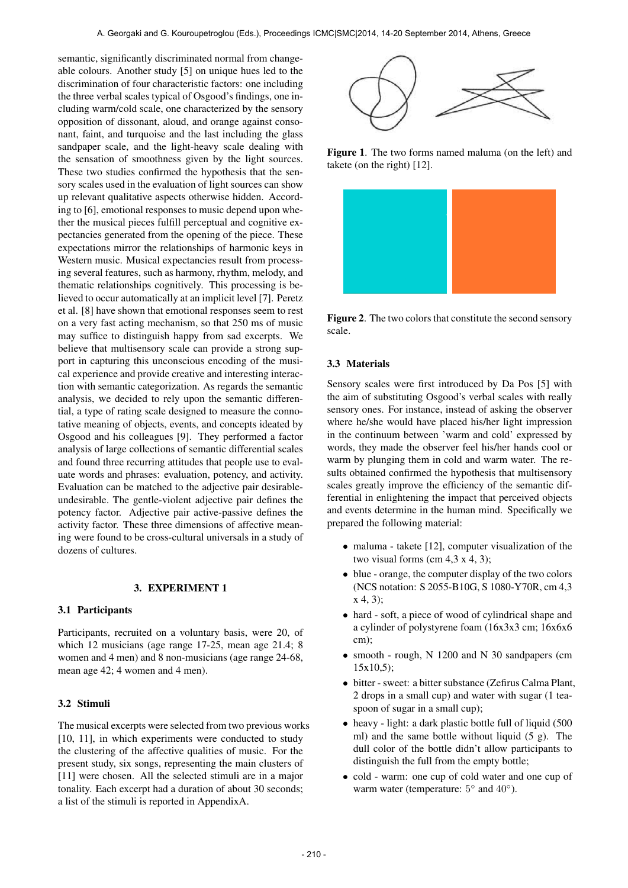semantic, significantly discriminated normal from changeable colours. Another study [5] on unique hues led to the discrimination of four characteristic factors: one including the three verbal scales typical of Osgood's findings, one including warm/cold scale, one characterized by the sensory opposition of dissonant, aloud, and orange against consonant, faint, and turquoise and the last including the glass sandpaper scale, and the light-heavy scale dealing with the sensation of smoothness given by the light sources. These two studies confirmed the hypothesis that the sensory scales used in the evaluation of light sources can show up relevant qualitative aspects otherwise hidden. According to [6], emotional responses to music depend upon whether the musical pieces fulfill perceptual and cognitive expectancies generated from the opening of the piece. These expectations mirror the relationships of harmonic keys in Western music. Musical expectancies result from processing several features, such as harmony, rhythm, melody, and thematic relationships cognitively. This processing is believed to occur automatically at an implicit level [7]. Peretz et al. [8] have shown that emotional responses seem to rest on a very fast acting mechanism, so that 250 ms of music may suffice to distinguish happy from sad excerpts. We believe that multisensory scale can provide a strong support in capturing this unconscious encoding of the musical experience and provide creative and interesting interaction with semantic categorization. As regards the semantic analysis, we decided to rely upon the semantic differential, a type of rating scale designed to measure the connotative meaning of objects, events, and concepts ideated by Osgood and his colleagues [9]. They performed a factor analysis of large collections of semantic differential scales and found three recurring attitudes that people use to evaluate words and phrases: evaluation, potency, and activity. Evaluation can be matched to the adjective pair desirableundesirable. The gentle-violent adjective pair defines the potency factor. Adjective pair active-passive defines the activity factor. These three dimensions of affective meaning were found to be cross-cultural universals in a study of dozens of cultures.

#### 3. EXPERIMENT 1

#### 3.1 Participants

Participants, recruited on a voluntary basis, were 20, of which 12 musicians (age range 17-25, mean age 21.4; 8 women and 4 men) and 8 non-musicians (age range 24-68, mean age 42; 4 women and 4 men).

#### 3.2 Stimuli

The musical excerpts were selected from two previous works [10, 11], in which experiments were conducted to study the clustering of the affective qualities of music. For the present study, six songs, representing the main clusters of [11] were chosen. All the selected stimuli are in a major tonality. Each excerpt had a duration of about 30 seconds; a list of the stimuli is reported in AppendixA.



Figure 1. The two forms named maluma (on the left) and takete (on the right) [12].



Figure 2. The two colors that constitute the second sensory scale.

## 3.3 Materials

Sensory scales were first introduced by Da Pos [5] with the aim of substituting Osgood's verbal scales with really sensory ones. For instance, instead of asking the observer where he/she would have placed his/her light impression in the continuum between 'warm and cold' expressed by words, they made the observer feel his/her hands cool or warm by plunging them in cold and warm water. The results obtained confirmed the hypothesis that multisensory scales greatly improve the efficiency of the semantic differential in enlightening the impact that perceived objects and events determine in the human mind. Specifically we prepared the following material:

- maluma takete [12], computer visualization of the two visual forms (cm  $4,3 \times 4, 3$ );
- blue orange, the computer display of the two colors (NCS notation: S 2055-B10G, S 1080-Y70R, cm 4,3 x 4, 3);
- hard soft, a piece of wood of cylindrical shape and a cylinder of polystyrene foam (16x3x3 cm; 16x6x6 cm);
- smooth rough, N 1200 and N 30 sandpapers (cm  $15x10,5$ ;
- bitter sweet: a bitter substance (Zefirus Calma Plant, 2 drops in a small cup) and water with sugar (1 teaspoon of sugar in a small cup);
- heavy light: a dark plastic bottle full of liquid (500) ml) and the same bottle without liquid (5 g). The dull color of the bottle didn't allow participants to distinguish the full from the empty bottle;
- cold warm: one cup of cold water and one cup of warm water (temperature:  $5^{\circ}$  and  $40^{\circ}$ ).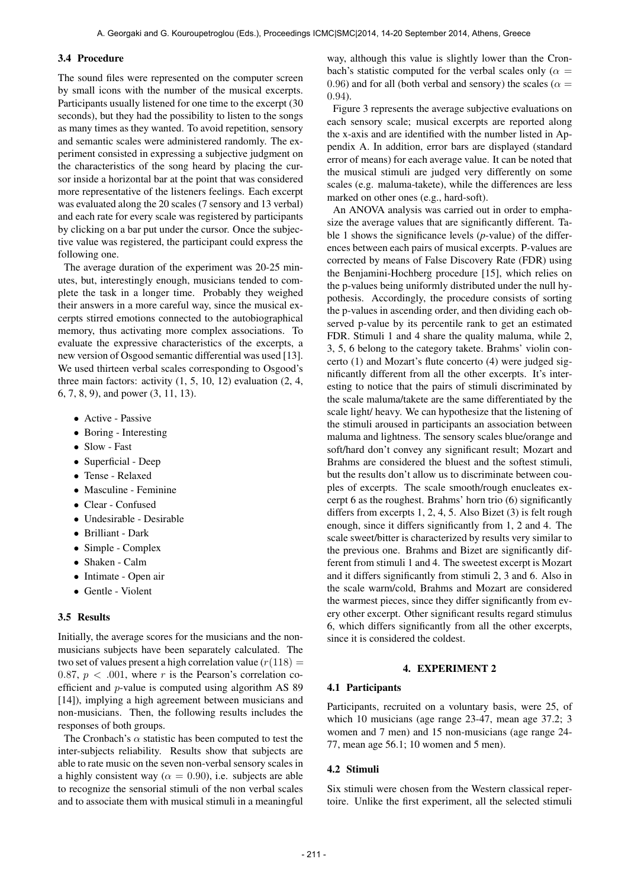#### 3.4 Procedure

The sound files were represented on the computer screen by small icons with the number of the musical excerpts. Participants usually listened for one time to the excerpt (30 seconds), but they had the possibility to listen to the songs as many times as they wanted. To avoid repetition, sensory and semantic scales were administered randomly. The experiment consisted in expressing a subjective judgment on the characteristics of the song heard by placing the cursor inside a horizontal bar at the point that was considered more representative of the listeners feelings. Each excerpt was evaluated along the 20 scales (7 sensory and 13 verbal) and each rate for every scale was registered by participants by clicking on a bar put under the cursor. Once the subjective value was registered, the participant could express the following one.

The average duration of the experiment was 20-25 minutes, but, interestingly enough, musicians tended to complete the task in a longer time. Probably they weighed their answers in a more careful way, since the musical excerpts stirred emotions connected to the autobiographical memory, thus activating more complex associations. To evaluate the expressive characteristics of the excerpts, a new version of Osgood semantic differential was used [13]. We used thirteen verbal scales corresponding to Osgood's three main factors: activity  $(1, 5, 10, 12)$  evaluation  $(2, 4, 12)$ 6, 7, 8, 9), and power (3, 11, 13).

- Active Passive
- Boring Interesting
- Slow Fast
- Superficial Deep
- Tense Relaxed
- Masculine Feminine
- Clear Confused
- Undesirable Desirable
- Brilliant Dark
- Simple Complex
- Shaken Calm
- Intimate Open air
- Gentle Violent

## 3.5 Results

Initially, the average scores for the musicians and the nonmusicians subjects have been separately calculated. The two set of values present a high correlation value  $(r(118)) =$ 0.87,  $p < .001$ , where r is the Pearson's correlation coefficient and p-value is computed using algorithm AS 89 [14]), implying a high agreement between musicians and non-musicians. Then, the following results includes the responses of both groups.

The Cronbach's  $\alpha$  statistic has been computed to test the inter-subjects reliability. Results show that subjects are able to rate music on the seven non-verbal sensory scales in a highly consistent way ( $\alpha = 0.90$ ), i.e. subjects are able to recognize the sensorial stimuli of the non verbal scales and to associate them with musical stimuli in a meaningful way, although this value is slightly lower than the Cronbach's statistic computed for the verbal scales only ( $\alpha =$ 0.96) and for all (both verbal and sensory) the scales ( $\alpha$  = 0.94).

Figure 3 represents the average subjective evaluations on each sensory scale; musical excerpts are reported along the x-axis and are identified with the number listed in Appendix A. In addition, error bars are displayed (standard error of means) for each average value. It can be noted that the musical stimuli are judged very differently on some scales (e.g. maluma-takete), while the differences are less marked on other ones (e.g., hard-soft).

An ANOVA analysis was carried out in order to emphasize the average values that are significantly different. Table 1 shows the significance levels (*p*-value) of the differences between each pairs of musical excerpts. P-values are corrected by means of False Discovery Rate (FDR) using the Benjamini-Hochberg procedure [15], which relies on the p-values being uniformly distributed under the null hypothesis. Accordingly, the procedure consists of sorting the p-values in ascending order, and then dividing each observed p-value by its percentile rank to get an estimated FDR. Stimuli 1 and 4 share the quality maluma, while 2, 3, 5, 6 belong to the category takete. Brahms' violin concerto (1) and Mozart's flute concerto (4) were judged significantly different from all the other excerpts. It's interesting to notice that the pairs of stimuli discriminated by the scale maluma/takete are the same differentiated by the scale light/ heavy. We can hypothesize that the listening of the stimuli aroused in participants an association between maluma and lightness. The sensory scales blue/orange and soft/hard don't convey any significant result; Mozart and Brahms are considered the bluest and the softest stimuli, but the results don't allow us to discriminate between couples of excerpts. The scale smooth/rough enucleates excerpt 6 as the roughest. Brahms' horn trio (6) significantly differs from excerpts 1, 2, 4, 5. Also Bizet (3) is felt rough enough, since it differs significantly from 1, 2 and 4. The scale sweet/bitter is characterized by results very similar to the previous one. Brahms and Bizet are significantly different from stimuli 1 and 4. The sweetest excerpt is Mozart and it differs significantly from stimuli 2, 3 and 6. Also in the scale warm/cold, Brahms and Mozart are considered the warmest pieces, since they differ significantly from every other excerpt. Other significant results regard stimulus 6, which differs significantly from all the other excerpts, since it is considered the coldest.

#### 4. EXPERIMENT 2

#### 4.1 Participants

Participants, recruited on a voluntary basis, were 25, of which 10 musicians (age range 23-47, mean age 37.2; 3 women and 7 men) and 15 non-musicians (age range 24- 77, mean age 56.1; 10 women and 5 men).

## 4.2 Stimuli

Six stimuli were chosen from the Western classical repertoire. Unlike the first experiment, all the selected stimuli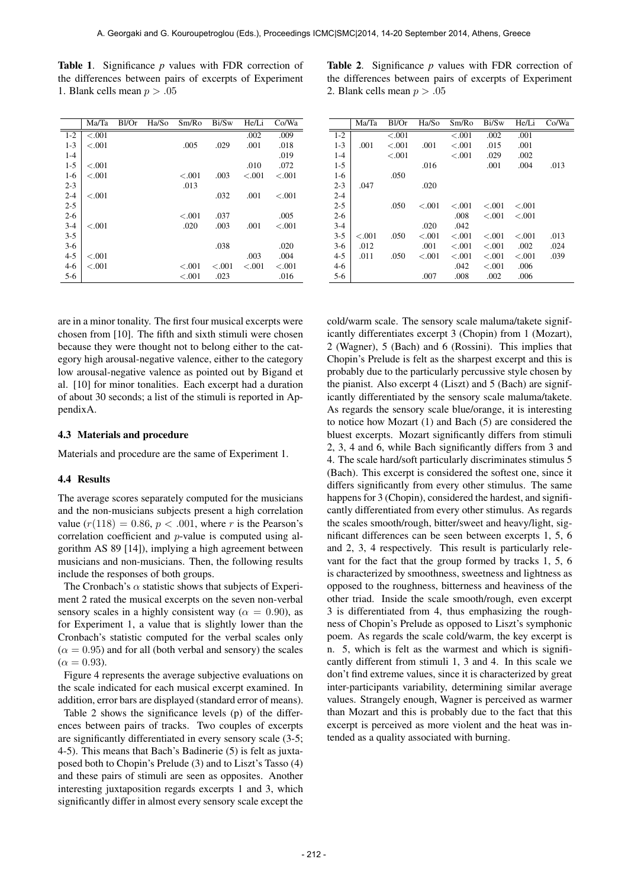Table 1. Significance *p* values with FDR correction of the differences between pairs of excerpts of Experiment 1. Blank cells mean  $p > .05$ 

|         | Ma/Ta   | $B$ l/Or | Ha/So | Sm/Ro   | Bi/Sw   | He/Li   | Co/Wa   |
|---------|---------|----------|-------|---------|---------|---------|---------|
| $1 - 2$ | < 0.001 |          |       |         |         | .002    | .009    |
| $1 - 3$ | < 0.001 |          |       | .005    | .029    | .001    | .018    |
| $1 - 4$ |         |          |       |         |         |         | .019    |
| $1 - 5$ | < 0.001 |          |       |         |         | .010    | .072    |
| $1-6$   | < 0.001 |          |       | $-.001$ | .003    | $-.001$ | $-.001$ |
| $2 - 3$ |         |          |       | .013    |         |         |         |
| $2 - 4$ | $-.001$ |          |       |         | .032    | .001    | $-.001$ |
| $2 - 5$ |         |          |       |         |         |         |         |
| $2 - 6$ |         |          |       | $-.001$ | .037    |         | .005    |
| $3-4$   | < 0.001 |          |       | .020    | .003    | .001    | $-.001$ |
| $3 - 5$ |         |          |       |         |         |         |         |
| $3-6$   |         |          |       |         | .038    |         | .020    |
| $4 - 5$ | < 0.001 |          |       |         |         | .003    | .004    |
| $4-6$   | < 0.001 |          |       | $-.001$ | $-.001$ | < 0.001 | $-.001$ |
| $5-6$   |         |          |       | $-.001$ | .023    |         | .016    |

are in a minor tonality. The first four musical excerpts were chosen from [10]. The fifth and sixth stimuli were chosen because they were thought not to belong either to the category high arousal-negative valence, either to the category low arousal-negative valence as pointed out by Bigand et al. [10] for minor tonalities. Each excerpt had a duration of about 30 seconds; a list of the stimuli is reported in AppendixA.

#### 4.3 Materials and procedure

Materials and procedure are the same of Experiment 1.

#### 4.4 Results

The average scores separately computed for the musicians and the non-musicians subjects present a high correlation value  $(r(118) = 0.86, p < .001$ , where r is the Pearson's correlation coefficient and p-value is computed using algorithm AS 89 [14]), implying a high agreement between musicians and non-musicians. Then, the following results include the responses of both groups.

The Cronbach's  $\alpha$  statistic shows that subjects of Experiment 2 rated the musical excerpts on the seven non-verbal sensory scales in a highly consistent way ( $\alpha = 0.90$ ), as for Experiment 1, a value that is slightly lower than the Cronbach's statistic computed for the verbal scales only  $(\alpha = 0.95)$  and for all (both verbal and sensory) the scales  $(\alpha = 0.93)$ .

Figure 4 represents the average subjective evaluations on the scale indicated for each musical excerpt examined. In addition, error bars are displayed (standard error of means).

Table 2 shows the significance levels (p) of the differences between pairs of tracks. Two couples of excerpts are significantly differentiated in every sensory scale (3-5; 4-5). This means that Bach's Badinerie (5) is felt as juxtaposed both to Chopin's Prelude (3) and to Liszt's Tasso (4) and these pairs of stimuli are seen as opposites. Another interesting juxtaposition regards excerpts 1 and 3, which significantly differ in almost every sensory scale except the

Table 2. Significance *p* values with FDR correction of the differences between pairs of excerpts of Experiment 2. Blank cells mean  $p > .05$ 

|         | Ma/Ta   | Bl/Or   | Ha/So     | Sm/Ro   | Bi/Sw     | He/Li   | Co/Wa |
|---------|---------|---------|-----------|---------|-----------|---------|-------|
| $1 - 2$ |         | < 0.001 |           | $-.001$ | .002      | .001    |       |
| $1 - 3$ | .001    | < 0.01  | .001      | $-.001$ | .015      | .001    |       |
| $1 - 4$ |         | < 0.001 |           | $-.001$ | .029      | .002    |       |
| $1 - 5$ |         |         | .016      |         | .001      | .004    | .013  |
| $1-6$   |         | .050    |           |         |           |         |       |
| $2 - 3$ | .047    |         | .020      |         |           |         |       |
| $2 - 4$ |         |         |           |         |           |         |       |
| $2 - 5$ |         | .050    | $-.001$   | < 0.001 | ${<}.001$ | < 0.001 |       |
| $2 - 6$ |         |         |           | .008    | < 0.01    | < 0.01  |       |
| $3 - 4$ |         |         | .020      | .042    |           |         |       |
| $3 - 5$ | < 0.001 | .050    | ${<}.001$ | $-.001$ | ${<}.001$ | < 0.001 | .013  |
| $3-6$   | .012    |         | .001      | < 0.001 | $-.001$   | .002    | .024  |
| $4 - 5$ | .011    | .050    | < 0.001   | $-.001$ | $-.001$   | < 0.001 | .039  |
| $4-6$   |         |         |           | .042    | < 0.001   | .006    |       |
| $5-6$   |         |         | .007      | .008    | .002      | .006    |       |

cold/warm scale. The sensory scale maluma/takete significantly differentiates excerpt 3 (Chopin) from 1 (Mozart), 2 (Wagner), 5 (Bach) and 6 (Rossini). This implies that Chopin's Prelude is felt as the sharpest excerpt and this is probably due to the particularly percussive style chosen by the pianist. Also excerpt 4 (Liszt) and 5 (Bach) are significantly differentiated by the sensory scale maluma/takete. As regards the sensory scale blue/orange, it is interesting to notice how Mozart (1) and Bach (5) are considered the bluest excerpts. Mozart significantly differs from stimuli 2, 3, 4 and 6, while Bach significantly differs from 3 and 4. The scale hard/soft particularly discriminates stimulus 5 (Bach). This excerpt is considered the softest one, since it differs significantly from every other stimulus. The same happens for 3 (Chopin), considered the hardest, and significantly differentiated from every other stimulus. As regards the scales smooth/rough, bitter/sweet and heavy/light, significant differences can be seen between excerpts 1, 5, 6 and 2, 3, 4 respectively. This result is particularly relevant for the fact that the group formed by tracks 1, 5, 6 is characterized by smoothness, sweetness and lightness as opposed to the roughness, bitterness and heaviness of the other triad. Inside the scale smooth/rough, even excerpt 3 is differentiated from 4, thus emphasizing the roughness of Chopin's Prelude as opposed to Liszt's symphonic poem. As regards the scale cold/warm, the key excerpt is n. 5, which is felt as the warmest and which is significantly different from stimuli 1, 3 and 4. In this scale we don't find extreme values, since it is characterized by great inter-participants variability, determining similar average values. Strangely enough, Wagner is perceived as warmer than Mozart and this is probably due to the fact that this excerpt is perceived as more violent and the heat was intended as a quality associated with burning.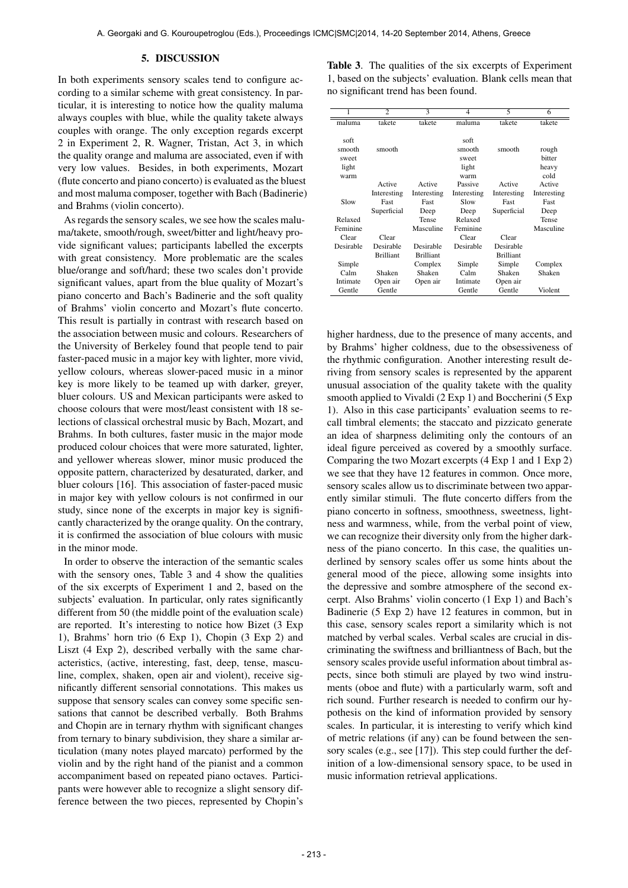#### 5. DISCUSSION

In both experiments sensory scales tend to configure according to a similar scheme with great consistency. In particular, it is interesting to notice how the quality maluma always couples with blue, while the quality takete always couples with orange. The only exception regards excerpt 2 in Experiment 2, R. Wagner, Tristan, Act 3, in which the quality orange and maluma are associated, even if with very low values. Besides, in both experiments, Mozart (flute concerto and piano concerto) is evaluated as the bluest and most maluma composer, together with Bach (Badinerie) and Brahms (violin concerto).

As regards the sensory scales, we see how the scales maluma/takete, smooth/rough, sweet/bitter and light/heavy provide significant values; participants labelled the excerpts with great consistency. More problematic are the scales blue/orange and soft/hard; these two scales don't provide significant values, apart from the blue quality of Mozart's piano concerto and Bach's Badinerie and the soft quality of Brahms' violin concerto and Mozart's flute concerto. This result is partially in contrast with research based on the association between music and colours. Researchers of the University of Berkeley found that people tend to pair faster-paced music in a major key with lighter, more vivid, yellow colours, whereas slower-paced music in a minor key is more likely to be teamed up with darker, greyer, bluer colours. US and Mexican participants were asked to choose colours that were most/least consistent with 18 selections of classical orchestral music by Bach, Mozart, and Brahms. In both cultures, faster music in the major mode produced colour choices that were more saturated, lighter, and yellower whereas slower, minor music produced the opposite pattern, characterized by desaturated, darker, and bluer colours [16]. This association of faster-paced music in major key with yellow colours is not confirmed in our study, since none of the excerpts in major key is significantly characterized by the orange quality. On the contrary, it is confirmed the association of blue colours with music in the minor mode.

In order to observe the interaction of the semantic scales with the sensory ones, Table 3 and 4 show the qualities of the six excerpts of Experiment 1 and 2, based on the subjects' evaluation. In particular, only rates significantly different from 50 (the middle point of the evaluation scale) are reported. It's interesting to notice how Bizet (3 Exp 1), Brahms' horn trio (6 Exp 1), Chopin (3 Exp 2) and Liszt (4 Exp 2), described verbally with the same characteristics, (active, interesting, fast, deep, tense, masculine, complex, shaken, open air and violent), receive significantly different sensorial connotations. This makes us suppose that sensory scales can convey some specific sensations that cannot be described verbally. Both Brahms and Chopin are in ternary rhythm with significant changes from ternary to binary subdivision, they share a similar articulation (many notes played marcato) performed by the violin and by the right hand of the pianist and a common accompaniment based on repeated piano octaves. Participants were however able to recognize a slight sensory difference between the two pieces, represented by Chopin's

Table 3. The qualities of the six excerpts of Experiment 1, based on the subjects' evaluation. Blank cells mean that no significant trend has been found.

|           | $\overline{c}$   | 3                | 4           | 5                | 6           |
|-----------|------------------|------------------|-------------|------------------|-------------|
| maluma    | takete           | takete           | maluma      | takete           | takete      |
|           |                  |                  |             |                  |             |
| soft      |                  |                  | soft        |                  |             |
| smooth    | smooth           |                  | smooth      | smooth           | rough       |
| sweet     |                  |                  | sweet       |                  | bitter      |
| light     |                  |                  | light       |                  | heavy       |
| warm      |                  |                  | warm        |                  | cold        |
|           | Active           | Active           | Passive     | Active           | Active      |
|           | Interesting      | Interesting      | Interesting | Interesting      | Interesting |
| Slow      | Fast             | Fast             | Slow        | Fast             | Fast        |
|           | Superficial      | Deep             | Deep        | Superficial      | Deep        |
| Relaxed   |                  | Tense            | Relaxed     |                  | Tense       |
| Feminine  |                  | Masculine        | Feminine    |                  | Masculine   |
| Clear     | Clear            |                  | Clear       | Clear            |             |
| Desirable | Desirable        | Desirable        | Desirable   | Desirable        |             |
|           | <b>Brilliant</b> | <b>Brilliant</b> |             | <b>Brilliant</b> |             |
| Simple    |                  | Complex          | Simple      | Simple           | Complex     |
| Calm      | Shaken           | Shaken           | Calm        | Shaken           | Shaken      |
| Intimate  | Open air         | Open air         | Intimate    | Open air         |             |
| Gentle    | Gentle           |                  | Gentle      | Gentle           | Violent     |

higher hardness, due to the presence of many accents, and by Brahms' higher coldness, due to the obsessiveness of the rhythmic configuration. Another interesting result deriving from sensory scales is represented by the apparent unusual association of the quality takete with the quality smooth applied to Vivaldi (2 Exp 1) and Boccherini (5 Exp 1). Also in this case participants' evaluation seems to recall timbral elements; the staccato and pizzicato generate an idea of sharpness delimiting only the contours of an ideal figure perceived as covered by a smoothly surface. Comparing the two Mozart excerpts (4 Exp 1 and 1 Exp 2) we see that they have 12 features in common. Once more, sensory scales allow us to discriminate between two apparently similar stimuli. The flute concerto differs from the piano concerto in softness, smoothness, sweetness, lightness and warmness, while, from the verbal point of view, we can recognize their diversity only from the higher darkness of the piano concerto. In this case, the qualities underlined by sensory scales offer us some hints about the general mood of the piece, allowing some insights into the depressive and sombre atmosphere of the second excerpt. Also Brahms' violin concerto (1 Exp 1) and Bach's Badinerie (5 Exp 2) have 12 features in common, but in this case, sensory scales report a similarity which is not matched by verbal scales. Verbal scales are crucial in discriminating the swiftness and brilliantness of Bach, but the sensory scales provide useful information about timbral aspects, since both stimuli are played by two wind instruments (oboe and flute) with a particularly warm, soft and rich sound. Further research is needed to confirm our hypothesis on the kind of information provided by sensory scales. In particular, it is interesting to verify which kind of metric relations (if any) can be found between the sensory scales (e.g., see [17]). This step could further the definition of a low-dimensional sensory space, to be used in music information retrieval applications.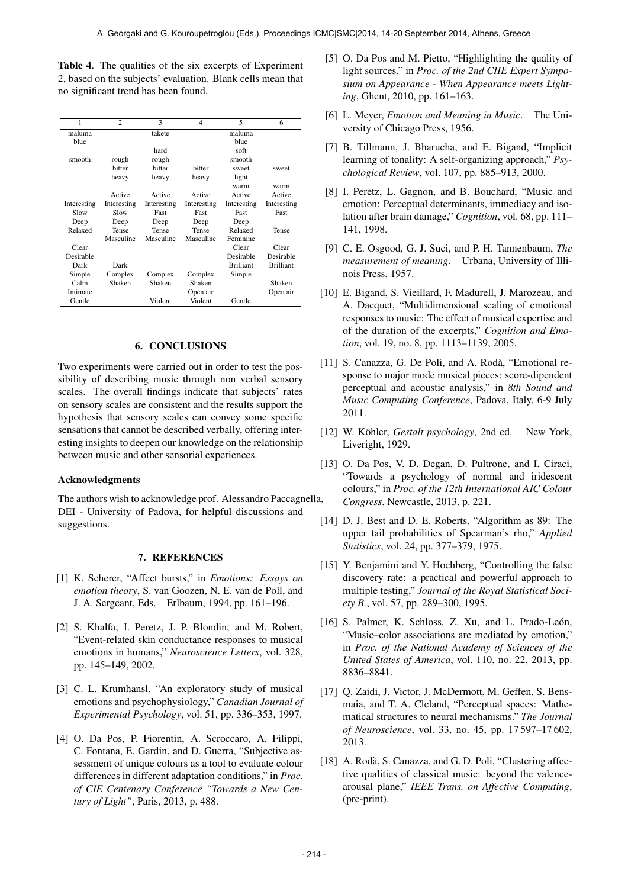Table 4. The qualities of the six excerpts of Experiment 2, based on the subjects' evaluation. Blank cells mean that no significant trend has been found.

| 1           | $\overline{c}$ | 3           | 4           | $\overline{\phantom{0}}$ | 6                |
|-------------|----------------|-------------|-------------|--------------------------|------------------|
| maluma      |                | takete      |             | maluma                   |                  |
| blue        |                |             |             | blue                     |                  |
|             |                | hard        |             | soft                     |                  |
| smooth      | rough          | rough       |             | smooth                   |                  |
|             | bitter         | bitter      | bitter      | sweet                    | sweet            |
|             | heavy          | heavy       | heavy       | light                    |                  |
|             |                |             |             | warm                     | warm             |
|             | Active         | Active      | Active      | Active                   | Active           |
| Interesting | Interesting    | Interesting | Interesting | Interesting              | Interesting      |
| Slow        | Slow           | Fast        | Fast        | Fast                     | Fast             |
| Deep        | Deep           | Deep        | Deep        | Deep                     |                  |
| Relaxed     | Tense          | Tense       | Tense       | Relaxed                  | Tense            |
|             | Masculine      | Masculine   | Masculine   | Feminine                 |                  |
| Clear       |                |             |             | Clear                    | Clear            |
| Desirable   |                |             |             | Desirable                | Desirable        |
| Dark        | Dark           |             |             | <b>Brilliant</b>         | <b>Brilliant</b> |
| Simple      | Complex        | Complex     | Complex     | Simple                   |                  |
| Calm        | Shaken         | Shaken      | Shaken      |                          | Shaken           |
| Intimate    |                |             | Open air    |                          | Open air         |
| Gentle      |                | Violent     | Violent     | Gentle                   |                  |

#### 6. CONCLUSIONS

Two experiments were carried out in order to test the possibility of describing music through non verbal sensory scales. The overall findings indicate that subjects' rates on sensory scales are consistent and the results support the hypothesis that sensory scales can convey some specific sensations that cannot be described verbally, offering interesting insights to deepen our knowledge on the relationship between music and other sensorial experiences.

#### Acknowledgments

The authors wish to acknowledge prof. Alessandro Paccagnella, DEI - University of Padova, for helpful discussions and suggestions.

# 7. REFERENCES

- [1] K. Scherer, "Affect bursts," in *Emotions: Essays on emotion theory*, S. van Goozen, N. E. van de Poll, and J. A. Sergeant, Eds. Erlbaum, 1994, pp. 161–196.
- [2] S. Khalfa, I. Peretz, J. P. Blondin, and M. Robert, "Event-related skin conductance responses to musical emotions in humans," *Neuroscience Letters*, vol. 328, pp. 145–149, 2002.
- [3] C. L. Krumhansl, "An exploratory study of musical emotions and psychophysiology," *Canadian Journal of Experimental Psychology*, vol. 51, pp. 336–353, 1997.
- [4] O. Da Pos, P. Fiorentin, A. Scroccaro, A. Filippi, C. Fontana, E. Gardin, and D. Guerra, "Subjective assessment of unique colours as a tool to evaluate colour differences in different adaptation conditions," in *Proc. of CIE Centenary Conference "Towards a New Century of Light"*, Paris, 2013, p. 488.
- [5] O. Da Pos and M. Pietto, "Highlighting the quality of light sources," in *Proc. of the 2nd CIIE Expert Symposium on Appearance - When Appearance meets Lighting*, Ghent, 2010, pp. 161–163.
- [6] L. Meyer, *Emotion and Meaning in Music*. The University of Chicago Press, 1956.
- [7] B. Tillmann, J. Bharucha, and E. Bigand, "Implicit learning of tonality: A self-organizing approach," *Psychological Review*, vol. 107, pp. 885–913, 2000.
- [8] I. Peretz, L. Gagnon, and B. Bouchard, "Music and emotion: Perceptual determinants, immediacy and isolation after brain damage," *Cognition*, vol. 68, pp. 111– 141, 1998.
- [9] C. E. Osgood, G. J. Suci, and P. H. Tannenbaum, *The measurement of meaning*. Urbana, University of Illinois Press, 1957.
- [10] E. Bigand, S. Vieillard, F. Madurell, J. Marozeau, and A. Dacquet, "Multidimensional scaling of emotional responses to music: The effect of musical expertise and of the duration of the excerpts," *Cognition and Emotion*, vol. 19, no. 8, pp. 1113–1139, 2005.
- [11] S. Canazza, G. De Poli, and A. Rodà, "Emotional response to major mode musical pieces: score-dipendent perceptual and acoustic analysis," in *8th Sound and Music Computing Conference*, Padova, Italy, 6-9 July 2011.
- [12] W. Köhler, Gestalt psychology, 2nd ed. New York, Liveright, 1929.
- [13] O. Da Pos, V. D. Degan, D. Pultrone, and I. Ciraci, "Towards a psychology of normal and iridescent colours," in *Proc. of the 12th International AIC Colour Congress*, Newcastle, 2013, p. 221.
- [14] D. J. Best and D. E. Roberts, "Algorithm as 89: The upper tail probabilities of Spearman's rho," *Applied Statistics*, vol. 24, pp. 377–379, 1975.
- [15] Y. Benjamini and Y. Hochberg, "Controlling the false discovery rate: a practical and powerful approach to multiple testing," *Journal of the Royal Statistical Society B.*, vol. 57, pp. 289–300, 1995.
- [16] S. Palmer, K. Schloss, Z. Xu, and L. Prado-León, "Music–color associations are mediated by emotion," in *Proc. of the National Academy of Sciences of the United States of America*, vol. 110, no. 22, 2013, pp. 8836–8841.
- [17] Q. Zaidi, J. Victor, J. McDermott, M. Geffen, S. Bensmaia, and T. A. Cleland, "Perceptual spaces: Mathematical structures to neural mechanisms." *The Journal of Neuroscience*, vol. 33, no. 45, pp. 17 597–17 602, 2013.
- [18] A. Rodà, S. Canazza, and G. D. Poli, "Clustering affective qualities of classical music: beyond the valencearousal plane," *IEEE Trans. on Affective Computing*, (pre-print).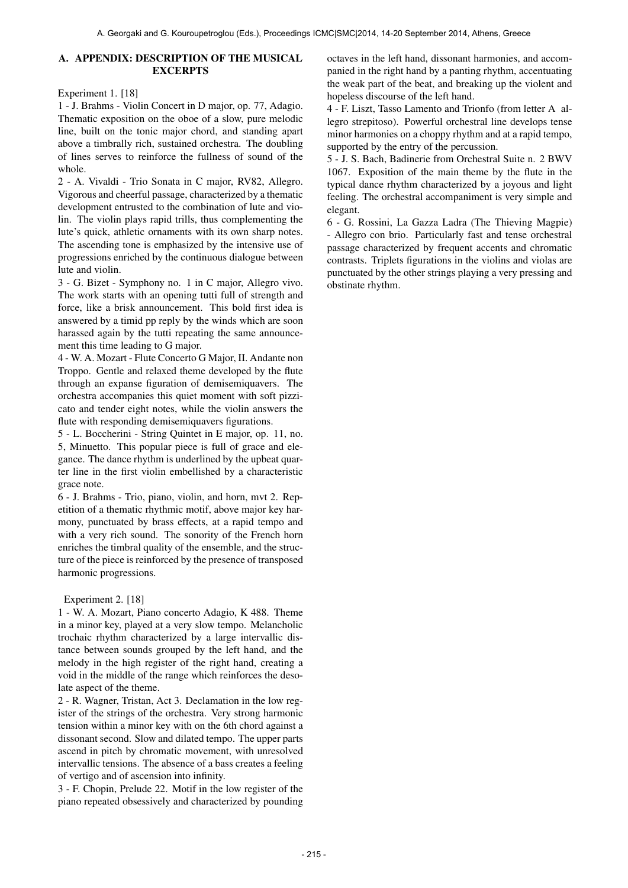# A. APPENDIX: DESCRIPTION OF THE MUSICAL **EXCERPTS**

Experiment 1. [18]

1 - J. Brahms - Violin Concert in D major, op. 77, Adagio. Thematic exposition on the oboe of a slow, pure melodic line, built on the tonic major chord, and standing apart above a timbrally rich, sustained orchestra. The doubling of lines serves to reinforce the fullness of sound of the whole.

2 - A. Vivaldi - Trio Sonata in C major, RV82, Allegro. Vigorous and cheerful passage, characterized by a thematic development entrusted to the combination of lute and violin. The violin plays rapid trills, thus complementing the lute's quick, athletic ornaments with its own sharp notes. The ascending tone is emphasized by the intensive use of progressions enriched by the continuous dialogue between lute and violin.

3 - G. Bizet - Symphony no. 1 in C major, Allegro vivo. The work starts with an opening tutti full of strength and force, like a brisk announcement. This bold first idea is answered by a timid pp reply by the winds which are soon harassed again by the tutti repeating the same announcement this time leading to G major.

4 - W. A. Mozart - Flute Concerto G Major, II. Andante non Troppo. Gentle and relaxed theme developed by the flute through an expanse figuration of demisemiquavers. The orchestra accompanies this quiet moment with soft pizzicato and tender eight notes, while the violin answers the flute with responding demisemiquavers figurations.

5 - L. Boccherini - String Quintet in E major, op. 11, no. 5, Minuetto. This popular piece is full of grace and elegance. The dance rhythm is underlined by the upbeat quarter line in the first violin embellished by a characteristic grace note.

6 - J. Brahms - Trio, piano, violin, and horn, mvt 2. Repetition of a thematic rhythmic motif, above major key harmony, punctuated by brass effects, at a rapid tempo and with a very rich sound. The sonority of the French horn enriches the timbral quality of the ensemble, and the structure of the piece is reinforced by the presence of transposed harmonic progressions.

# Experiment 2. [18]

1 - W. A. Mozart, Piano concerto Adagio, K 488. Theme in a minor key, played at a very slow tempo. Melancholic trochaic rhythm characterized by a large intervallic distance between sounds grouped by the left hand, and the melody in the high register of the right hand, creating a void in the middle of the range which reinforces the desolate aspect of the theme.

2 - R. Wagner, Tristan, Act 3. Declamation in the low register of the strings of the orchestra. Very strong harmonic tension within a minor key with on the 6th chord against a dissonant second. Slow and dilated tempo. The upper parts ascend in pitch by chromatic movement, with unresolved intervallic tensions. The absence of a bass creates a feeling of vertigo and of ascension into infinity.

3 - F. Chopin, Prelude 22. Motif in the low register of the piano repeated obsessively and characterized by pounding octaves in the left hand, dissonant harmonies, and accompanied in the right hand by a panting rhythm, accentuating the weak part of the beat, and breaking up the violent and hopeless discourse of the left hand.

4 - F. Liszt, Tasso Lamento and Trionfo (from letter A allegro strepitoso). Powerful orchestral line develops tense minor harmonies on a choppy rhythm and at a rapid tempo, supported by the entry of the percussion.

5 - J. S. Bach, Badinerie from Orchestral Suite n. 2 BWV 1067. Exposition of the main theme by the flute in the typical dance rhythm characterized by a joyous and light feeling. The orchestral accompaniment is very simple and elegant.

6 - G. Rossini, La Gazza Ladra (The Thieving Magpie) - Allegro con brio. Particularly fast and tense orchestral passage characterized by frequent accents and chromatic contrasts. Triplets figurations in the violins and violas are punctuated by the other strings playing a very pressing and obstinate rhythm.